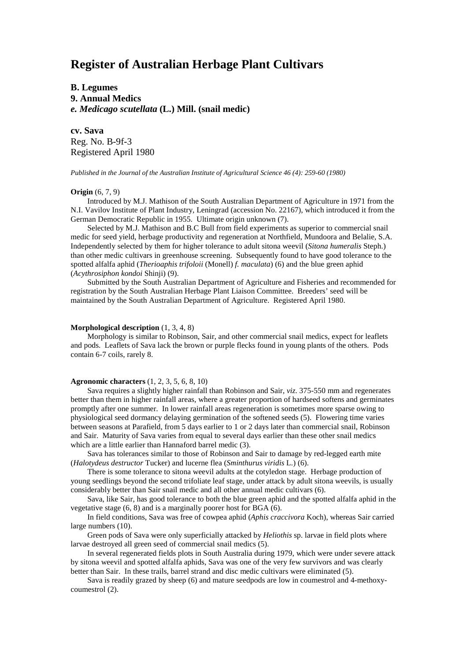# **Register of Australian Herbage Plant Cultivars**

**B. Legumes 9. Annual Medics** *e. Medicago scutellata* **(L.) Mill. (snail medic)**

**cv. Sava** Reg. No. B-9f-3 Registered April 1980

*Published in the Journal of the Australian Institute of Agricultural Science 46 (4): 259-60 (1980)*

### **Origin** (6, 7, 9)

Introduced by M.J. Mathison of the South Australian Department of Agriculture in 1971 from the N.I. Vavilov Institute of Plant Industry, Leningrad (accession No. 22167), which introduced it from the German Democratic Republic in 1955. Ultimate origin unknown (7).

Selected by M.J. Mathison and B.C Bull from field experiments as superior to commercial snail medic for seed yield, herbage productivity and regeneration at Northfield, Mundoora and Belalie, S.A. Independently selected by them for higher tolerance to adult sitona weevil (*Sitona humeralis* Steph.) than other medic cultivars in greenhouse screening. Subsequently found to have good tolerance to the spotted alfalfa aphid (*Therioaphis trifoloii* (Monell) *f. maculata*) (6) and the blue green aphid (*Acythrosiphon kondoi* Shinji) (9).

Submitted by the South Australian Department of Agriculture and Fisheries and recommended for registration by the South Australian Herbage Plant Liaison Committee. Breeders' seed will be maintained by the South Australian Department of Agriculture. Registered April 1980.

## **Morphological description** (1, 3, 4, 8)

Morphology is similar to Robinson, Sair, and other commercial snail medics, expect for leaflets and pods. Leaflets of Sava lack the brown or purple flecks found in young plants of the others. Pods contain 6-7 coils, rarely 8.

# **Agronomic characters** (1, 2, 3, 5, 6, 8, 10)

Sava requires a slightly higher rainfall than Robinson and Sair, *viz*. 375-550 mm and regenerates better than them in higher rainfall areas, where a greater proportion of hardseed softens and germinates promptly after one summer. In lower rainfall areas regeneration is sometimes more sparse owing to physiological seed dormancy delaying germination of the softened seeds (5). Flowering time varies between seasons at Parafield, from 5 days earlier to 1 or 2 days later than commercial snail, Robinson and Sair. Maturity of Sava varies from equal to several days earlier than these other snail medics which are a little earlier than Hannaford barrel medic (3).

Sava has tolerances similar to those of Robinson and Sair to damage by red-legged earth mite (*Halotydeus destructor* Tucker) and lucerne flea (*Sminthurus viridis* L.) (6).

There is some tolerance to sitona weevil adults at the cotyledon stage. Herbage production of young seedlings beyond the second trifoliate leaf stage, under attack by adult sitona weevils, is usually considerably better than Sair snail medic and all other annual medic cultivars (6).

Sava, like Sair, has good tolerance to both the blue green aphid and the spotted alfalfa aphid in the vegetative stage (6, 8) and is a marginally poorer host for BGA (6).

In field conditions, Sava was free of cowpea aphid (*Aphis craccivora* Koch), whereas Sair carried large numbers (10).

Green pods of Sava were only superficially attacked by *Heliothis* sp. larvae in field plots where larvae destroyed all green seed of commercial snail medics (5).

In several regenerated fields plots in South Australia during 1979, which were under severe attack by sitona weevil and spotted alfalfa aphids, Sava was one of the very few survivors and was clearly better than Sair. In these trails, barrel strand and disc medic cultivars were eliminated (5).

Sava is readily grazed by sheep (6) and mature seedpods are low in coumestrol and 4-methoxycoumestrol (2).